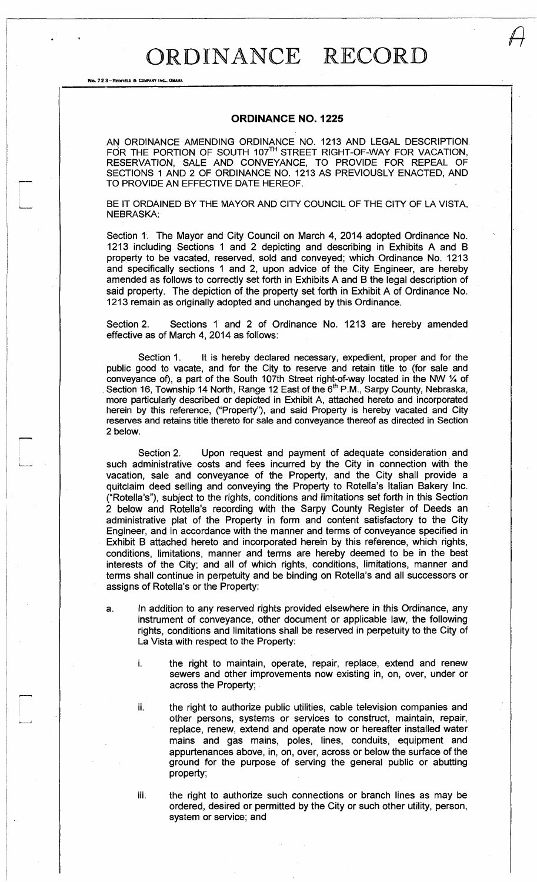## ORDINANCE RECORD

## ORDINANCE NO. 1225

AN ORDINANCE AMENDING ORDINANCE NO. 1213 AND LEGAL DESCRIPTION FOR THE PORTION OF SOUTH 107™ STREET RIGHT-OF-WAY FOR VACATION, RESERVATION, SALE AND CONVEYANCE, TO PROVIDE FOR REPEAL OF SECTIONS 1 AND 2 OF ORDINANCE NO. 1213 AS PREVIOUSLY ENACTED, AND TO PROVIDE AN EFFECTIVE DATE HEREOF.

BE IT ORDAINED BY THE MAYOR AND CITY COUNCIL OF THE CITY OF LA VISTA, NEBRASKA:

Section 1. The Mayor and City Council on March 4, 2014 adopted Ordinance No. 1213 including Sections 1 and 2 depicting and describing in Exhibits A and B property to be vacated, reserved, sold and conveyed; which Ordinance No. 1213 and specifically sections 1 and 2, upon advice of the City Engineer, are hereby amended as follows to correctly set forth in Exhibits A and B the legal description of said property. The depiction of the property set forth in Exhibit A of Ordinance No. 1213 remain as originally adopted and unchanged by this Ordinance.

Section 2. Sections 1 and 2 of Ordinance No. 1213 are hereby amended effective as of March 4, 2014 as follows:

Section 1. It is hereby declared necessary, expedient, proper and for the public good to vacate, and for the City to reserve and retain title to (for sale and conveyance of), a part of the South 107th Street right-of-way located in the NW % of Section 16, Township 14 North, Range 12 East of the 6<sup>th</sup> P.M., Sarpy County, Nebraska, more particularly described or depicted in Exhibit A, attached hereto and incorporated herein by this reference, ("Property"), and said Property is hereby vacated and City reserves and retains title thereto for sale and conveyance thereof as directed in Section 2 below.

Section 2. Upon request and payment of adequate consideration and such administrative costs and fees incurred by the City in connection with the vacation, sale and conveyance of the Property, and the City shall provide a quitclaim deed selling and conveying the Property to Rotella's Italian Bakery Inc. ("Rotella's"), subject to the rights, conditions and limitations set forth in this Section 2 below and Rotella's recording with the Sarpy County Register of Deeds an administrative plat of the Property in form and content satisfactory to the City Engineer, and in accordance with the manner and terms of conveyance specified in Exhibit B attached hereto and incorporated herein by this reference, which rights, conditions, limitations, manner and terms are hereby deemed to be in the best interests of the City; and all of which rights, conditions, limitations, manner and terms shall continue in perpetuity and be binding on Rotella's and all successors or assigns of Rotella's or the Property:

- a. In addition to any reserved rights provided elsewhere in this Ordinance, any instrument of conveyance, other document or applicable law, the following rights, conditions and limitations shall be reserved in perpetuity to the City of La Vista with respect to the Property:
	- i. the right to maintain, operate, repair, replace, extend and renew sewers and other improvements now existing in, on, over, under or across the Property;
	- ii. the right to authorize public utilities, cable television companies and other persons, systems or services to construct, maintain, *repair,*  replace, renew, extend and operate now or hereafter installed water mains and gas mains, poles, lines, conduits, equipment and appurtenances above, in, on, over, across or below the surface of the ground for the purpose of serving the general public or abutting property;

No. 728-REDFIELD & C

iii. the right to authorize such connections or branch lines as may be ordered, desired or permitted by the City or such other utility, person, system or service; and